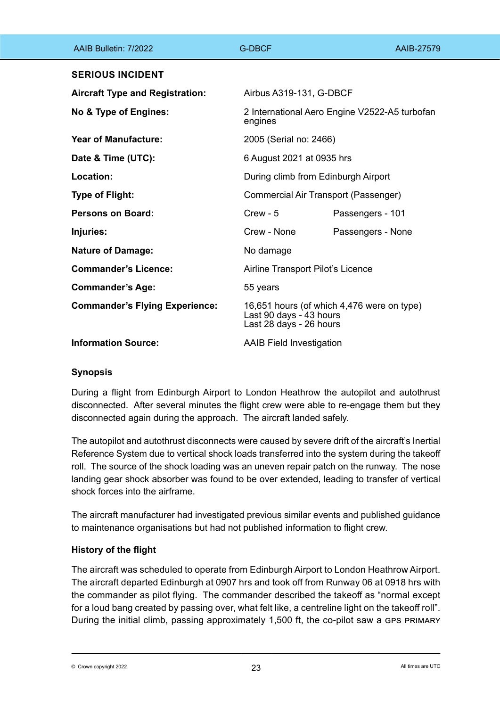| AAIB Bulletin: 7/2022                  | <b>G-DBCF</b>                                                                                    | AAIB-27579        |
|----------------------------------------|--------------------------------------------------------------------------------------------------|-------------------|
| <b>SERIOUS INCIDENT</b>                |                                                                                                  |                   |
| <b>Aircraft Type and Registration:</b> | Airbus A319-131, G-DBCF                                                                          |                   |
| No & Type of Engines:                  | 2 International Aero Engine V2522-A5 turbofan<br>engines                                         |                   |
| <b>Year of Manufacture:</b>            | 2005 (Serial no: 2466)                                                                           |                   |
| Date & Time (UTC):                     | 6 August 2021 at 0935 hrs                                                                        |                   |
| Location:                              | During climb from Edinburgh Airport                                                              |                   |
| <b>Type of Flight:</b>                 | Commercial Air Transport (Passenger)                                                             |                   |
| <b>Persons on Board:</b>               | $C$ rew - $5$                                                                                    | Passengers - 101  |
| Injuries:                              | Crew - None                                                                                      | Passengers - None |
| <b>Nature of Damage:</b>               | No damage                                                                                        |                   |
| <b>Commander's Licence:</b>            | Airline Transport Pilot's Licence                                                                |                   |
| <b>Commander's Age:</b>                | 55 years                                                                                         |                   |
| <b>Commander's Flying Experience:</b>  | 16,651 hours (of which 4,476 were on type)<br>Last 90 days - 43 hours<br>Last 28 days - 26 hours |                   |
| <b>Information Source:</b>             | <b>AAIB Field Investigation</b>                                                                  |                   |

### **Synopsis**

During a flight from Edinburgh Airport to London Heathrow the autopilot and autothrust disconnected. After several minutes the flight crew were able to re-engage them but they disconnected again during the approach. The aircraft landed safely.

The autopilot and autothrust disconnects were caused by severe drift of the aircraft's Inertial Reference System due to vertical shock loads transferred into the system during the takeoff roll. The source of the shock loading was an uneven repair patch on the runway. The nose landing gear shock absorber was found to be over extended, leading to transfer of vertical shock forces into the airframe.

The aircraft manufacturer had investigated previous similar events and published guidance to maintenance organisations but had not published information to flight crew.

# **History of the flight**

The aircraft was scheduled to operate from Edinburgh Airport to London Heathrow Airport. The aircraft departed Edinburgh at 0907 hrs and took off from Runway 06 at 0918 hrs with the commander as pilot flying. The commander described the takeoff as "normal except for a loud bang created by passing over, what felt like, a centreline light on the takeoff roll". During the initial climb, passing approximately 1,500 ft, the co-pilot saw a GPS PRIMARY

 $\heartsuit$  Crown copyright 2022  $\textcolor{red}{\text{23}}$   $\textcolor{red}{\text{23}}$   $\textcolor{red}{\text{23}}$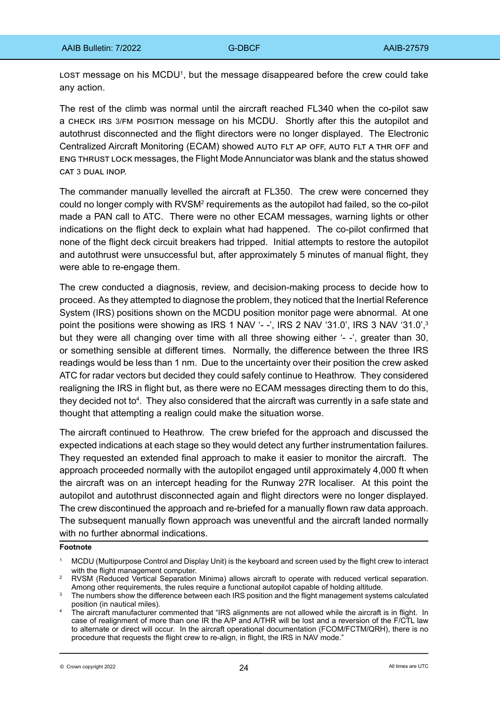LOST message on his MCDU<sup>1</sup>, but the message disappeared before the crew could take any action.

The rest of the climb was normal until the aircraft reached FL340 when the co-pilot saw a check irs 3/fm position message on his MCDU. Shortly after this the autopilot and autothrust disconnected and the flight directors were no longer displayed. The Electronic Centralized Aircraft Monitoring (ECAM) showed auto flt ap off, auto flt a thr off and eng thrust lock messages, the Flight Mode Annunciator was blank and the status showed CAT 3 DUAL INOP.

The commander manually levelled the aircraft at FL350. The crew were concerned they could no longer comply with RVSM<sup>2</sup> requirements as the autopilot had failed, so the co-pilot made a PAN call to ATC. There were no other ECAM messages, warning lights or other indications on the flight deck to explain what had happened. The co-pilot confirmed that none of the flight deck circuit breakers had tripped. Initial attempts to restore the autopilot and autothrust were unsuccessful but, after approximately 5 minutes of manual flight, they were able to re-engage them.

The crew conducted a diagnosis, review, and decision-making process to decide how to proceed. As they attempted to diagnose the problem, they noticed that the Inertial Reference System (IRS) positions shown on the MCDU position monitor page were abnormal. At one point the positions were showing as IRS 1 NAV '--', IRS 2 NAV '31.0', IRS 3 NAV '31.0',<sup>3</sup> but they were all changing over time with all three showing either '--', greater than 30, or something sensible at different times. Normally, the difference between the three IRS readings would be less than 1 nm. Due to the uncertainty over their position the crew asked ATC for radar vectors but decided they could safely continue to Heathrow. They considered realigning the IRS in flight but, as there were no ECAM messages directing them to do this, they decided not to<sup>4</sup>. They also considered that the aircraft was currently in a safe state and thought that attempting a realign could make the situation worse.

The aircraft continued to Heathrow. The crew briefed for the approach and discussed the expected indications at each stage so they would detect any further instrumentation failures. They requested an extended final approach to make it easier to monitor the aircraft. The approach proceeded normally with the autopilot engaged until approximately 4,000 ft when the aircraft was on an intercept heading for the Runway 27R localiser. At this point the autopilot and autothrust disconnected again and flight directors were no longer displayed. The crew discontinued the approach and re-briefed for a manually flown raw data approach. The subsequent manually flown approach was uneventful and the aircraft landed normally with no further abnormal indications.

#### **Footnote**

- <sup>2</sup> RVSM (Reduced Vertical Separation Minima) allows aircraft to operate with reduced vertical separation. Among other requirements, the rules require a functional autopilot capable of holding altitude.
- <sup>3</sup> The numbers show the difference between each IRS position and the flight management systems calculated position (in nautical miles).
- <sup>4</sup> The aircraft manufacturer commented that "IRS alignments are not allowed while the aircraft is in flight. In case of realignment of more than one IR the A/P and A/THR will be lost and a reversion of the F/CTL law to alternate or direct will occur. In the aircraft operational documentation (FCOM/FCTM/QRH), there is no procedure that requests the flight crew to re-align, in flight, the IRS in NAV mode."

<sup>1</sup> MCDU (Multipurpose Control and Display Unit) is the keyboard and screen used by the flight crew to interact with the flight management computer.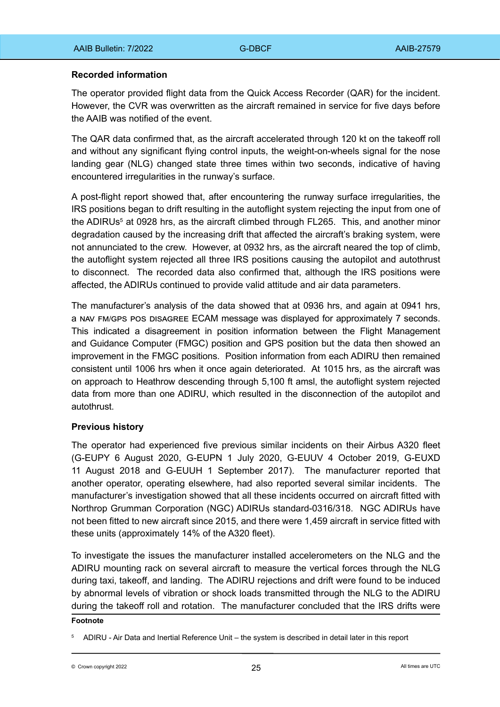### **Recorded information**

The operator provided flight data from the Quick Access Recorder (QAR) for the incident. However, the CVR was overwritten as the aircraft remained in service for five days before the AAIB was notified of the event.

The QAR data confirmed that, as the aircraft accelerated through 120 kt on the takeoff roll and without any significant flying control inputs, the weight-on-wheels signal for the nose landing gear (NLG) changed state three times within two seconds, indicative of having encountered irregularities in the runway's surface.

A post-flight report showed that, after encountering the runway surface irregularities, the IRS positions began to drift resulting in the autoflight system rejecting the input from one of the ADIRUs<sup>5</sup> at 0928 hrs, as the aircraft climbed through FL265. This, and another minor degradation caused by the increasing drift that affected the aircraft's braking system, were not annunciated to the crew. However, at 0932 hrs, as the aircraft neared the top of climb, the autoflight system rejected all three IRS positions causing the autopilot and autothrust to disconnect. The recorded data also confirmed that, although the IRS positions were affected, the ADIRUs continued to provide valid attitude and air data parameters.

The manufacturer's analysis of the data showed that at 0936 hrs, and again at 0941 hrs, a nav fm/gps pos disagree ECAM message was displayed for approximately 7 seconds. This indicated a disagreement in position information between the Flight Management and Guidance Computer (FMGC) position and GPS position but the data then showed an improvement in the FMGC positions. Position information from each ADIRU then remained consistent until 1006 hrs when it once again deteriorated. At 1015 hrs, as the aircraft was on approach to Heathrow descending through 5,100 ft amsl, the autoflight system rejected data from more than one ADIRU, which resulted in the disconnection of the autopilot and autothrust.

### **Previous history**

The operator had experienced five previous similar incidents on their Airbus A320 fleet (G-EUPY 6 August 2020, G-EUPN 1 July 2020, G-EUUV 4 October 2019, G-EUXD 11 August 2018 and G-EUUH 1 September 2017). The manufacturer reported that another operator, operating elsewhere, had also reported several similar incidents. The manufacturer's investigation showed that all these incidents occurred on aircraft fitted with Northrop Grumman Corporation (NGC) ADIRUs standard-0316/318. NGC ADIRUs have not been fitted to new aircraft since 2015, and there were 1,459 aircraft in service fitted with these units (approximately 14% of the A320 fleet).

To investigate the issues the manufacturer installed accelerometers on the NLG and the ADIRU mounting rack on several aircraft to measure the vertical forces through the NLG during taxi, takeoff, and landing. The ADIRU rejections and drift were found to be induced by abnormal levels of vibration or shock loads transmitted through the NLG to the ADIRU during the takeoff roll and rotation. The manufacturer concluded that the IRS drifts were

#### **Footnote**

<sup>5</sup> ADIRU - Air Data and Inertial Reference Unit – the system is described in detail later in this report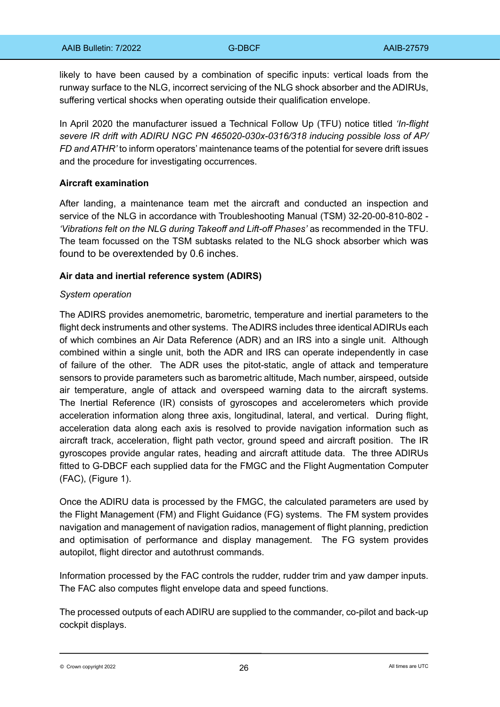likely to have been caused by a combination of specific inputs: vertical loads from the runway surface to the NLG, incorrect servicing of the NLG shock absorber and the ADIRUs, suffering vertical shocks when operating outside their qualification envelope.

In April 2020 the manufacturer issued a Technical Follow Up (TFU) notice titled *'In-flight severe IR drift with ADIRU NGC PN 465020-030x-0316/318 inducing possible loss of AP/ FD and ATHR'* to inform operators' maintenance teams of the potential for severe drift issues and the procedure for investigating occurrences.

#### **Aircraft examination**

After landing, a maintenance team met the aircraft and conducted an inspection and service of the NLG in accordance with Troubleshooting Manual (TSM) 32-20-00-810-802 - *'Vibrations felt on the NLG during Takeoff and Lift-off Phases'* as recommended in the TFU. The team focussed on the TSM subtasks related to the NLG shock absorber which was found to be overextended by 0.6 inches.

#### **Air data and inertial reference system (ADIRS)**

#### *System operation*

The ADIRS provides anemometric, barometric, temperature and inertial parameters to the flight deck instruments and other systems. The ADIRS includes three identical ADIRUs each of which combines an Air Data Reference (ADR) and an IRS into a single unit. Although combined within a single unit, both the ADR and IRS can operate independently in case of failure of the other. The ADR uses the pitot-static, angle of attack and temperature sensors to provide parameters such as barometric altitude, Mach number, airspeed, outside air temperature, angle of attack and overspeed warning data to the aircraft systems. The Inertial Reference (IR) consists of gyroscopes and accelerometers which provide acceleration information along three axis, longitudinal, lateral, and vertical. During flight, acceleration data along each axis is resolved to provide navigation information such as aircraft track, acceleration, flight path vector, ground speed and aircraft position. The IR gyroscopes provide angular rates, heading and aircraft attitude data. The three ADIRUs fitted to G-DBCF each supplied data for the FMGC and the Flight Augmentation Computer (FAC), (Figure 1).

Once the ADIRU data is processed by the FMGC, the calculated parameters are used by the Flight Management (FM) and Flight Guidance (FG) systems. The FM system provides navigation and management of navigation radios, management of flight planning, prediction and optimisation of performance and display management. The FG system provides autopilot, flight director and autothrust commands.

Information processed by the FAC controls the rudder, rudder trim and yaw damper inputs. The FAC also computes flight envelope data and speed functions.

The processed outputs of each ADIRU are supplied to the commander, co-pilot and back-up cockpit displays.

© Crown copyright 2022  $\sim$  26  $\sim$  26  $\sim$  26  $\sim$   $\sim$   $\sim$   $\sim$   $\sim$   $\sim$  All times are UTC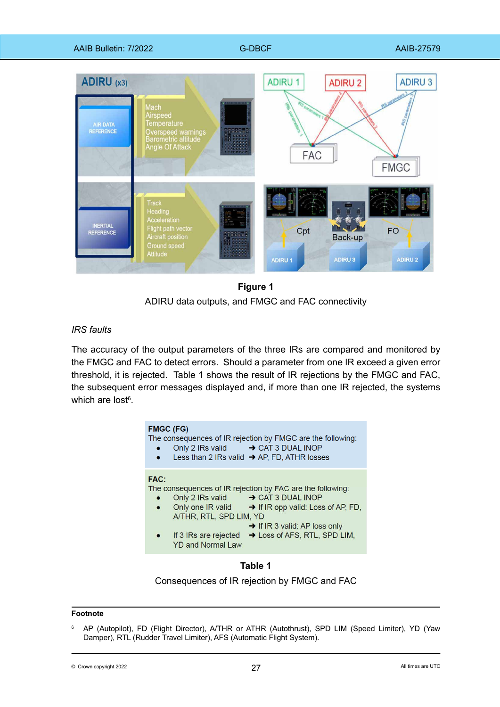

# **Figure 1 Figure 1**

ADIRU data outputs, and FMGC and FAC connectivity ADIRU data outputs, and FMGC and FAC connectivity

# *IRS faults*

The accuracy of the output parameters of the three IRs are compared and monitored by the FMGC and FAC to detect errors. Should a parameter from one IR exceed a given error threshold, it is rejected. Table 1 shows the result of IR rejections by the FMGC and FAC, the subsequent error messages displayed and, if more than one IR rejected, the systems which are lost $\rm ^6.$ 

| <b>FMGC (FG)</b>         |                                                                              | The consequences of IR rejection by FMGC are the following:<br>Only 2 IRs valid → CAT 3 DUAL INOP<br>Less than 2 IRs valid $\rightarrow$ AP, FD, ATHR losses                                                                                      |
|--------------------------|------------------------------------------------------------------------------|---------------------------------------------------------------------------------------------------------------------------------------------------------------------------------------------------------------------------------------------------|
| <b>FAC:</b><br>$\bullet$ | A/THR, RTL, SPD LIM, YD<br>If 3 IRs are rejected<br><b>YD and Normal Law</b> | The consequences of IR rejection by FAC are the following:<br>Only 2 IRs valid → CAT 3 DUAL INOP<br>Only one IR valid $\rightarrow$ If IR opp valid: Loss of AP, FD,<br>$\rightarrow$ If IR 3 valid: AP loss only<br>→ Loss of AFS, RTL, SPD LIM, |



Consequences of IR rejection by FMGC and FAC

#### **Footnote**

<sup>6</sup> AP (Autopilot), FD (Flight Director), A/THR or ATHR (Autothrust), SPD LIM (Speed Limiter), YD (Yaw Damper), RTL (Rudder Travel Limiter), AFS (Automatic Flight System).

 $\circ$  Crown copyright 2022  $\circ$  27  $\circ$  27  $\circ$  27  $\circ$  21  $\circ$  21  $\circ$  21  $\circ$  21  $\circ$  21  $\circ$  21  $\circ$  21  $\circ$  21  $\circ$  21  $\circ$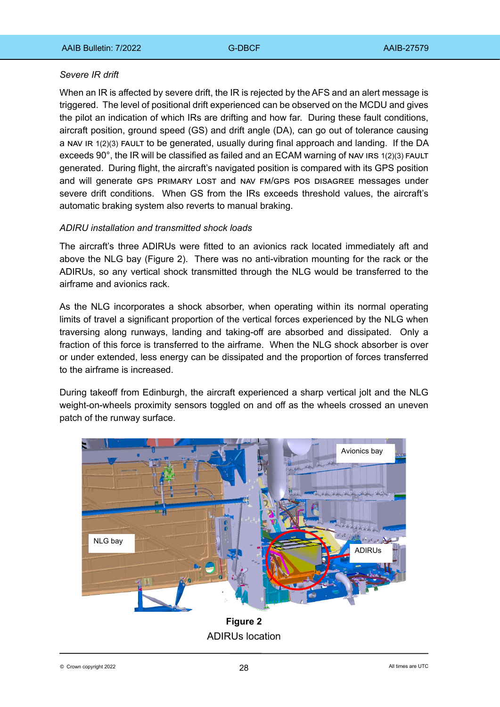### *Severe IR drift*

When an IR is affected by severe drift, the IR is rejected by the AFS and an alert message is triggered. The level of positional drift experienced can be observed on the MCDU and gives the pilot an indication of which IRs are drifting and how far. During these fault conditions, aircraft position, ground speed (GS) and drift angle (DA), can go out of tolerance causing a NAV IR 1(2)(3) FAULT to be generated, usually during final approach and landing. If the DA exceeds 90°, the IR will be classified as failed and an ECAM warning of NAV IRS 1(2)(3) FAULT generated. During flight, the aircraft's navigated position is compared with its GPS position and will generate GPS PRIMARY LOST and NAV FM/GPS POS DISAGREE messages under severe drift conditions. When GS from the IRs exceeds threshold values, the aircraft's automatic braking system also reverts to manual braking.

### *ADIRU installation and transmitted shock loads*

The aircraft's three ADIRUs were fitted to an avionics rack located immediately aft and above the NLG bay (Figure 2). There was no anti-vibration mounting for the rack or the ADIRUs, so any vertical shock transmitted through the NLG would be transferred to the airframe and avionics rack.

As the NLG incorporates a shock absorber, when operating within its normal operating limits of travel a significant proportion of the vertical forces experienced by the NLG when traversing along runways, landing and taking-off are absorbed and dissipated. Only a fraction of this force is transferred to the airframe. When the NLG shock absorber is over or under extended, less energy can be dissipated and the proportion of forces transferred to the airframe is increased.

During takeoff from Edinburgh, the aircraft experienced a sharp vertical jolt and the NLG weight-on-wheels proximity sensors toggled on and off as the wheels crossed an uneven patch of the runway surface.



**Figure 2 Figure 2** ADIRUs location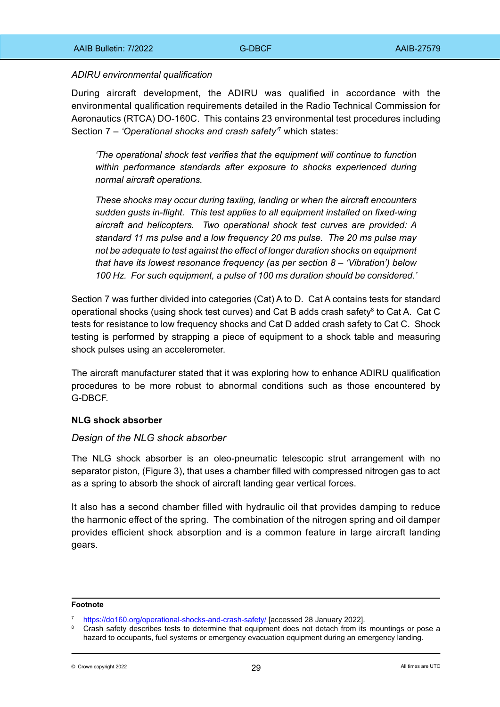#### *ADIRU environmental qualification*

During aircraft development, the ADIRU was qualified in accordance with the environmental qualification requirements detailed in the Radio Technical Commission for Aeronautics (RTCA) DO-160C. This contains 23 environmental test procedures including Section 7 – *'Operational shocks and crash safety'*<sup>7</sup> which states:

*'The operational shock test verifies that the equipment will continue to function within performance standards after exposure to shocks experienced during normal aircraft operations.*

*These shocks may occur during taxiing, landing or when the aircraft encounters sudden gusts in-flight. This test applies to all equipment installed on fixed-wing aircraft and helicopters. Two operational shock test curves are provided: A standard 11 ms pulse and a low frequency 20 ms pulse. The 20 ms pulse may not be adequate to test against the effect of longer duration shocks on equipment that have its lowest resonance frequency (as per section 8 – 'Vibration') below 100 Hz. For such equipment, a pulse of 100 ms duration should be considered.'*

Section 7 was further divided into categories (Cat) A to D. Cat A contains tests for standard operational shocks (using shock test curves) and Cat B adds crash safety<sup>8</sup> to Cat A. Cat C tests for resistance to low frequency shocks and Cat D added crash safety to Cat C. Shock testing is performed by strapping a piece of equipment to a shock table and measuring shock pulses using an accelerometer.

The aircraft manufacturer stated that it was exploring how to enhance ADIRU qualification procedures to be more robust to abnormal conditions such as those encountered by G-DBCF.

### **NLG shock absorber**

#### *Design of the NLG shock absorber*

The NLG shock absorber is an oleo-pneumatic telescopic strut arrangement with no separator piston, (Figure 3), that uses a chamber filled with compressed nitrogen gas to act as a spring to absorb the shock of aircraft landing gear vertical forces.

It also has a second chamber filled with hydraulic oil that provides damping to reduce the harmonic effect of the spring. The combination of the nitrogen spring and oil damper provides efficient shock absorption and is a common feature in large aircraft landing gears.

#### **Footnote**

<sup>7</sup> <https://do160.org/operational-shocks-and-crash-safety/> [accessed 28 January 2022].

Crash safety describes tests to determine that equipment does not detach from its mountings or pose a hazard to occupants, fuel systems or emergency evacuation equipment during an emergency landing.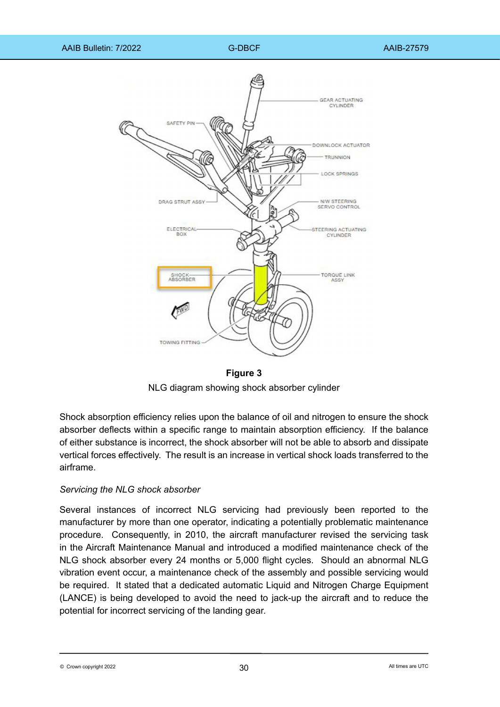

**Figure 3 Figure 3**

NLG diagram showing shock absorber cylinder NLG diagram showing shock absorber cylinder

Shock absorption efficiency relies upon the balance of oil and nitrogen to ensure the shock absorber deflects within a specific range to maintain absorption efficiency. If the balance of either substance is incorrect, the shock absorber will not be able to absorb and dissipate vertical forces effectively. The result is an increase in vertical shock loads transferred to the airframe.

### *Servicing the NLG shock absorber*

Several instances of incorrect NLG servicing had previously been reported to the manufacturer by more than one operator, indicating a potentially problematic maintenance procedure. Consequently, in 2010, the aircraft manufacturer revised the servicing task in the Aircraft Maintenance Manual and introduced a modified maintenance check of the NLG shock absorber every 24 months or 5,000 flight cycles. Should an abnormal NLG vibration event occur, a maintenance check of the assembly and possible servicing would be required. It stated that a dedicated automatic Liquid and Nitrogen Charge Equipment (LANCE) is being developed to avoid the need to jack-up the aircraft and to reduce the potential for incorrect servicing of the landing gear.

 $\odot$  Crown copyright 2022 **a**ll times are UTC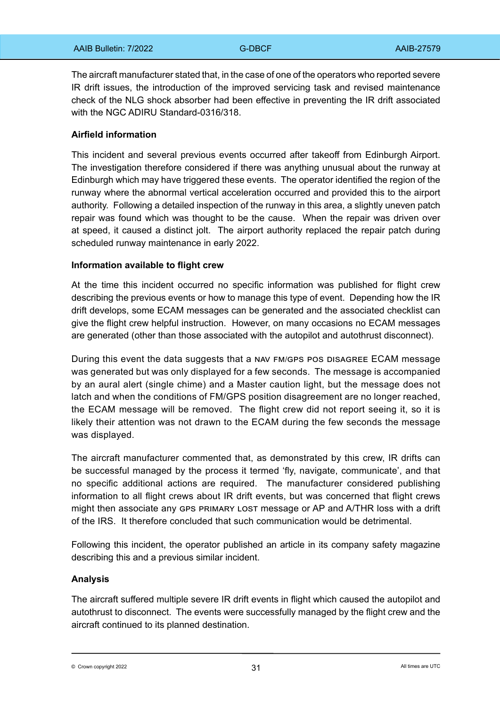The aircraft manufacturer stated that, in the case of one of the operators who reported severe IR drift issues, the introduction of the improved servicing task and revised maintenance check of the NLG shock absorber had been effective in preventing the IR drift associated with the NGC ADIRU Standard-0316/318.

### **Airfield information**

This incident and several previous events occurred after takeoff from Edinburgh Airport. The investigation therefore considered if there was anything unusual about the runway at Edinburgh which may have triggered these events. The operator identified the region of the runway where the abnormal vertical acceleration occurred and provided this to the airport authority. Following a detailed inspection of the runway in this area, a slightly uneven patch repair was found which was thought to be the cause. When the repair was driven over at speed, it caused a distinct jolt. The airport authority replaced the repair patch during scheduled runway maintenance in early 2022.

#### **Information available to flight crew**

At the time this incident occurred no specific information was published for flight crew describing the previous events or how to manage this type of event. Depending how the IR drift develops, some ECAM messages can be generated and the associated checklist can give the flight crew helpful instruction. However, on many occasions no ECAM messages are generated (other than those associated with the autopilot and autothrust disconnect).

During this event the data suggests that a NAV FM/GPS POS DISAGREE ECAM message was generated but was only displayed for a few seconds. The message is accompanied by an aural alert (single chime) and a Master caution light, but the message does not latch and when the conditions of FM/GPS position disagreement are no longer reached, the ECAM message will be removed. The flight crew did not report seeing it, so it is likely their attention was not drawn to the ECAM during the few seconds the message was displayed.

The aircraft manufacturer commented that, as demonstrated by this crew, IR drifts can be successful managed by the process it termed 'fly, navigate, communicate', and that no specific additional actions are required. The manufacturer considered publishing information to all flight crews about IR drift events, but was concerned that flight crews might then associate any GPS PRIMARY LOST message or AP and A/THR loss with a drift of the IRS. It therefore concluded that such communication would be detrimental.

Following this incident, the operator published an article in its company safety magazine describing this and a previous similar incident.

#### **Analysis**

The aircraft suffered multiple severe IR drift events in flight which caused the autopilot and autothrust to disconnect. The events were successfully managed by the flight crew and the aircraft continued to its planned destination.

 $\odot$  Crown copyright 2022  $\ddot{\phantom{2}}$  and  $\ddot{\phantom{2}}$  31  $\ddot{\phantom{2}}$  and  $\ddot{\phantom{2}}$  and  $\ddot{\phantom{2}}$  and  $\ddot{\phantom{2}}$  and  $\ddot{\phantom{2}}$  and  $\ddot{\phantom{2}}$  and  $\ddot{\phantom{2}}$  and  $\ddot{\phantom{2}}$  and  $\ddot{\phantom{2}}$  and  $\ddot{\phantom{2}}$  and  $\dd$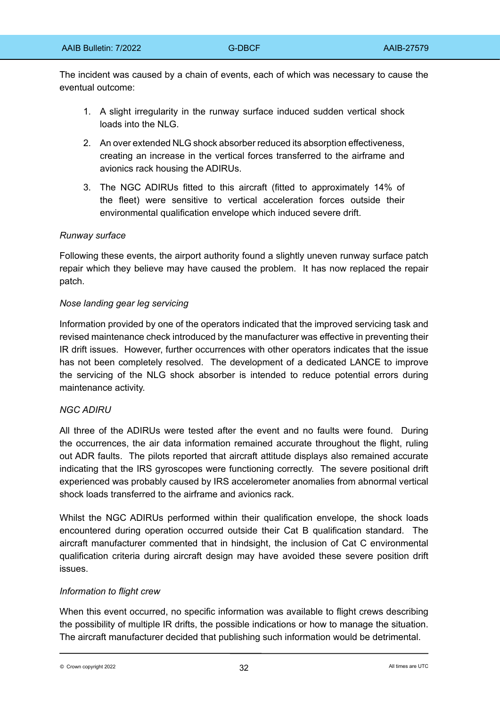The incident was caused by a chain of events, each of which was necessary to cause the eventual outcome:

- 1. A slight irregularity in the runway surface induced sudden vertical shock loads into the NLG.
- 2. An over extended NLG shock absorber reduced its absorption effectiveness, creating an increase in the vertical forces transferred to the airframe and avionics rack housing the ADIRUs.
- 3. The NGC ADIRUs fitted to this aircraft (fitted to approximately 14% of the fleet) were sensitive to vertical acceleration forces outside their environmental qualification envelope which induced severe drift.

### *Runway surface*

Following these events, the airport authority found a slightly uneven runway surface patch repair which they believe may have caused the problem. It has now replaced the repair patch.

### *Nose landing gear leg servicing*

Information provided by one of the operators indicated that the improved servicing task and revised maintenance check introduced by the manufacturer was effective in preventing their IR drift issues. However, further occurrences with other operators indicates that the issue has not been completely resolved. The development of a dedicated LANCE to improve the servicing of the NLG shock absorber is intended to reduce potential errors during maintenance activity.

### *NGC ADIRU*

All three of the ADIRUs were tested after the event and no faults were found. During the occurrences, the air data information remained accurate throughout the flight, ruling out ADR faults. The pilots reported that aircraft attitude displays also remained accurate indicating that the IRS gyroscopes were functioning correctly. The severe positional drift experienced was probably caused by IRS accelerometer anomalies from abnormal vertical shock loads transferred to the airframe and avionics rack.

Whilst the NGC ADIRUs performed within their qualification envelope, the shock loads encountered during operation occurred outside their Cat B qualification standard. The aircraft manufacturer commented that in hindsight, the inclusion of Cat C environmental qualification criteria during aircraft design may have avoided these severe position drift issues.

### *Information to flight crew*

When this event occurred, no specific information was available to flight crews describing the possibility of multiple IR drifts, the possible indications or how to manage the situation. The aircraft manufacturer decided that publishing such information would be detrimental.